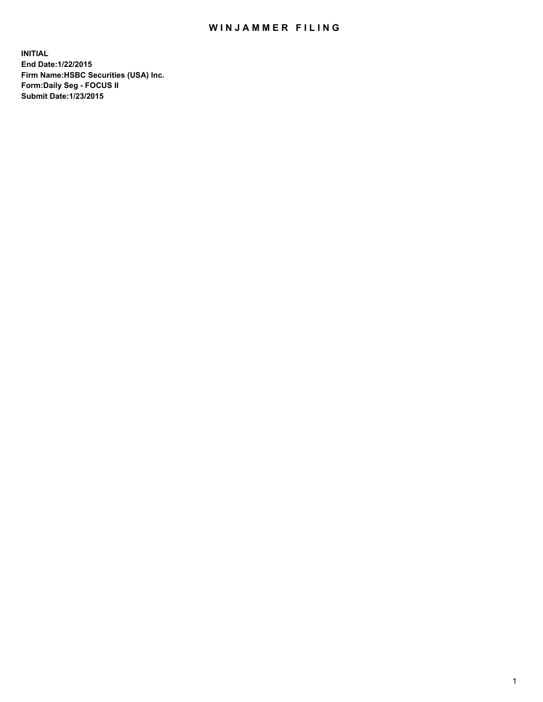## WIN JAMMER FILING

**INITIAL End Date:1/22/2015 Firm Name:HSBC Securities (USA) Inc. Form:Daily Seg - FOCUS II Submit Date:1/23/2015**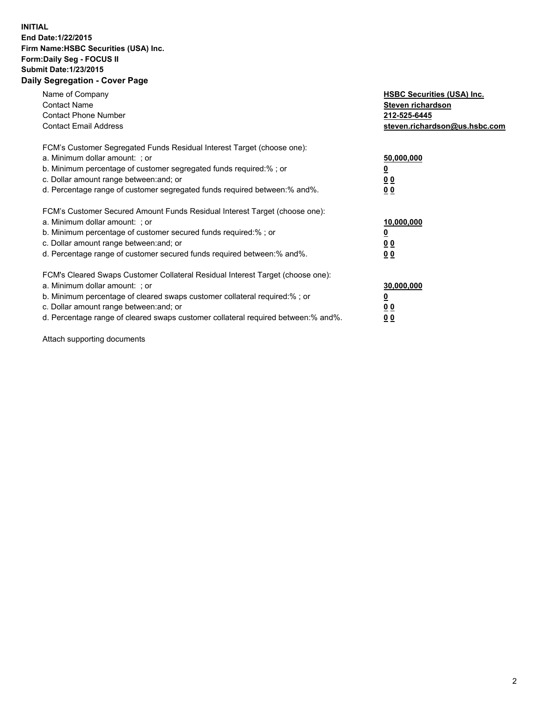## **INITIAL End Date:1/22/2015 Firm Name:HSBC Securities (USA) Inc. Form:Daily Seg - FOCUS II Submit Date:1/23/2015 Daily Segregation - Cover Page**

| Name of Company<br><b>Contact Name</b><br><b>Contact Phone Number</b><br><b>Contact Email Address</b>                                                                                                                                                                                                                         | <b>HSBC Securities (USA) Inc.</b><br>Steven richardson<br>212-525-6445<br>steven.richardson@us.hsbc.com |
|-------------------------------------------------------------------------------------------------------------------------------------------------------------------------------------------------------------------------------------------------------------------------------------------------------------------------------|---------------------------------------------------------------------------------------------------------|
| FCM's Customer Segregated Funds Residual Interest Target (choose one):<br>a. Minimum dollar amount: ; or<br>b. Minimum percentage of customer segregated funds required:%; or<br>c. Dollar amount range between: and; or<br>d. Percentage range of customer segregated funds required between:% and%.                         | 50,000,000<br>00<br>0 <sub>0</sub>                                                                      |
| FCM's Customer Secured Amount Funds Residual Interest Target (choose one):<br>a. Minimum dollar amount: ; or<br>b. Minimum percentage of customer secured funds required:%; or<br>c. Dollar amount range between: and; or<br>d. Percentage range of customer secured funds required between:% and%.                           | 10,000,000<br>0 <sub>0</sub><br>00                                                                      |
| FCM's Cleared Swaps Customer Collateral Residual Interest Target (choose one):<br>a. Minimum dollar amount: ; or<br>b. Minimum percentage of cleared swaps customer collateral required:%; or<br>c. Dollar amount range between: and; or<br>d. Percentage range of cleared swaps customer collateral required between:% and%. | 30,000,000<br><u>00</u><br><u>00</u>                                                                    |

Attach supporting documents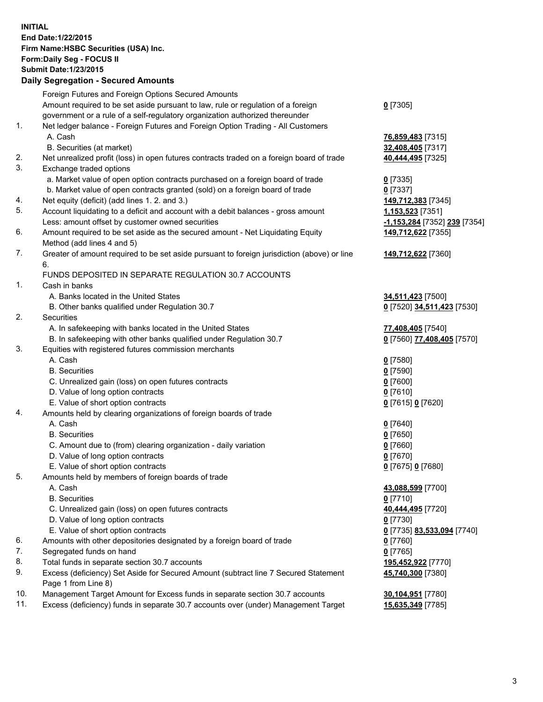**INITIAL End Date:1/22/2015 Firm Name:HSBC Securities (USA) Inc. Form:Daily Seg - FOCUS II Submit Date:1/23/2015 Daily Segregation - Secured Amounts**

|     | Foreign Futures and Foreign Options Secured Amounts                                               |                              |
|-----|---------------------------------------------------------------------------------------------------|------------------------------|
|     | Amount required to be set aside pursuant to law, rule or regulation of a foreign                  | $0$ [7305]                   |
|     | government or a rule of a self-regulatory organization authorized thereunder                      |                              |
| 1.  | Net ledger balance - Foreign Futures and Foreign Option Trading - All Customers                   |                              |
|     | A. Cash                                                                                           | 76,859,483 [7315]            |
|     | B. Securities (at market)                                                                         | 32,408,405 [7317]            |
| 2.  | Net unrealized profit (loss) in open futures contracts traded on a foreign board of trade         | 40,444,495 [7325]            |
| 3.  | Exchange traded options                                                                           |                              |
|     | a. Market value of open option contracts purchased on a foreign board of trade                    | $0$ [7335]                   |
|     | b. Market value of open contracts granted (sold) on a foreign board of trade                      |                              |
| 4.  |                                                                                                   | $0$ [7337]                   |
| 5.  | Net equity (deficit) (add lines 1. 2. and 3.)                                                     | 149,712,383 [7345]           |
|     | Account liquidating to a deficit and account with a debit balances - gross amount                 | 1,153,523 [7351]             |
|     | Less: amount offset by customer owned securities                                                  | -1,153,284 [7352] 239 [7354] |
| 6.  | Amount required to be set aside as the secured amount - Net Liquidating Equity                    | 149,712,622 [7355]           |
|     | Method (add lines 4 and 5)                                                                        |                              |
| 7.  | Greater of amount required to be set aside pursuant to foreign jurisdiction (above) or line<br>6. | 149,712,622 [7360]           |
|     | FUNDS DEPOSITED IN SEPARATE REGULATION 30.7 ACCOUNTS                                              |                              |
| 1.  | Cash in banks                                                                                     |                              |
|     | A. Banks located in the United States                                                             | 34,511,423 [7500]            |
|     | B. Other banks qualified under Regulation 30.7                                                    | 0 [7520] 34,511,423 [7530]   |
| 2.  | <b>Securities</b>                                                                                 |                              |
|     | A. In safekeeping with banks located in the United States                                         | 77,408,405 [7540]            |
|     | B. In safekeeping with other banks qualified under Regulation 30.7                                | 0 [7560] 77,408,405 [7570]   |
| 3.  | Equities with registered futures commission merchants                                             |                              |
|     | A. Cash                                                                                           | $0$ [7580]                   |
|     | <b>B.</b> Securities                                                                              | $0$ [7590]                   |
|     | C. Unrealized gain (loss) on open futures contracts                                               | $0$ [7600]                   |
|     | D. Value of long option contracts                                                                 | $0$ [7610]                   |
|     | E. Value of short option contracts                                                                | 0 [7615] 0 [7620]            |
| 4.  | Amounts held by clearing organizations of foreign boards of trade                                 |                              |
|     | A. Cash                                                                                           | $0$ [7640]                   |
|     | <b>B.</b> Securities                                                                              | $0$ [7650]                   |
|     | C. Amount due to (from) clearing organization - daily variation                                   | $0$ [7660]                   |
|     | D. Value of long option contracts                                                                 | $0$ [7670]                   |
|     | E. Value of short option contracts                                                                | 0 [7675] 0 [7680]            |
| 5.  | Amounts held by members of foreign boards of trade                                                |                              |
|     | A. Cash                                                                                           | 43,088,599 [7700]            |
|     | <b>B.</b> Securities                                                                              | $0$ [7710]                   |
|     | C. Unrealized gain (loss) on open futures contracts                                               | 40,444,495 [7720]            |
|     | D. Value of long option contracts                                                                 | $0$ [7730]                   |
|     | E. Value of short option contracts                                                                | 0 [7735] 83,533,094 [7740]   |
| 6.  | Amounts with other depositories designated by a foreign board of trade                            | $0$ [7760]                   |
| 7.  | Segregated funds on hand                                                                          | $0$ [7765]                   |
| 8.  | Total funds in separate section 30.7 accounts                                                     | 195,452,922 [7770]           |
| 9.  | Excess (deficiency) Set Aside for Secured Amount (subtract line 7 Secured Statement               | 45,740,300 [7380]            |
|     | Page 1 from Line 8)                                                                               |                              |
| 10. | Management Target Amount for Excess funds in separate section 30.7 accounts                       | 30,104,951 [7780]            |
| 11. | Excess (deficiency) funds in separate 30.7 accounts over (under) Management Target                | 15,635,349 [7785]            |
|     |                                                                                                   |                              |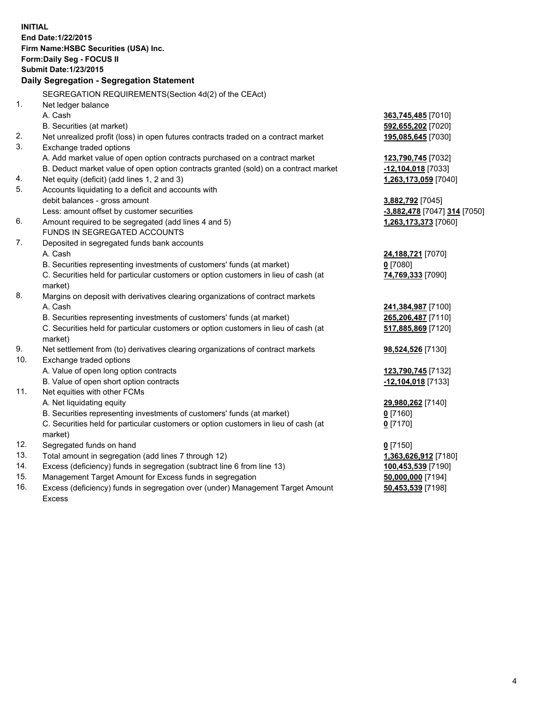| <b>INITIAL</b> | End Date: 1/22/2015<br>Firm Name: HSBC Securities (USA) Inc.<br>Form: Daily Seg - FOCUS II<br><b>Submit Date: 1/23/2015</b><br>Daily Segregation - Segregation Statement |                              |
|----------------|--------------------------------------------------------------------------------------------------------------------------------------------------------------------------|------------------------------|
|                | SEGREGATION REQUIREMENTS(Section 4d(2) of the CEAct)                                                                                                                     |                              |
| 1.             | Net ledger balance                                                                                                                                                       |                              |
|                | A. Cash                                                                                                                                                                  | 363,745,485 [7010]           |
|                | B. Securities (at market)                                                                                                                                                | 592,655,202 [7020]           |
| 2.             | Net unrealized profit (loss) in open futures contracts traded on a contract market                                                                                       | 195,085,645 [7030]           |
| 3.             | Exchange traded options                                                                                                                                                  |                              |
|                | A. Add market value of open option contracts purchased on a contract market                                                                                              | 123,790,745 [7032]           |
|                | B. Deduct market value of open option contracts granted (sold) on a contract market                                                                                      | -12,104,018 [7033]           |
| 4.             | Net equity (deficit) (add lines 1, 2 and 3)                                                                                                                              | 1,263,173,059 [7040]         |
| 5.             | Accounts liquidating to a deficit and accounts with                                                                                                                      |                              |
|                | debit balances - gross amount                                                                                                                                            | 3,882,792 [7045]             |
|                | Less: amount offset by customer securities                                                                                                                               | -3,882,478 [7047] 314 [7050] |
| 6.             | Amount required to be segregated (add lines 4 and 5)                                                                                                                     | 1,263,173,373 [7060]         |
|                | FUNDS IN SEGREGATED ACCOUNTS                                                                                                                                             |                              |
| 7.             | Deposited in segregated funds bank accounts                                                                                                                              |                              |
|                | A. Cash                                                                                                                                                                  | 24,188,721 [7070]            |
|                | B. Securities representing investments of customers' funds (at market)                                                                                                   | $0$ [7080]                   |
|                | C. Securities held for particular customers or option customers in lieu of cash (at<br>market)                                                                           | 74,769,333 [7090]            |
| 8.             | Margins on deposit with derivatives clearing organizations of contract markets                                                                                           |                              |
|                | A. Cash                                                                                                                                                                  | 241,384,987 [7100]           |
|                | B. Securities representing investments of customers' funds (at market)                                                                                                   | 265,206,487 [7110]           |
|                | C. Securities held for particular customers or option customers in lieu of cash (at<br>market)                                                                           | 517,885,869 [7120]           |
| 9.             | Net settlement from (to) derivatives clearing organizations of contract markets                                                                                          | 98,524,526 [7130]            |
| 10.            | Exchange traded options                                                                                                                                                  |                              |
|                | A. Value of open long option contracts                                                                                                                                   | 123,790,745 [7132]           |
|                | B. Value of open short option contracts                                                                                                                                  | -12,104,018 [7133]           |
| 11.            | Net equities with other FCMs                                                                                                                                             |                              |
|                | A. Net liquidating equity                                                                                                                                                | 29,980,262 [7140]            |
|                | B. Securities representing investments of customers' funds (at market)                                                                                                   | $0$ [7160]                   |
|                | C. Securities held for particular customers or option customers in lieu of cash (at<br>market)                                                                           | $0$ [7170]                   |
| 12.            | Segregated funds on hand                                                                                                                                                 | $0$ [7150]                   |
| 13.            | Total amount in segregation (add lines 7 through 12)                                                                                                                     | 1,363,626,912 [7180]         |
| 14.            | Excess (deficiency) funds in segregation (subtract line 6 from line 13)                                                                                                  | 100,453,539 [7190]           |
| 15.            | Management Target Amount for Excess funds in segregation                                                                                                                 | 50,000,000 [7194]            |
| 16.            | Excess (deficiency) funds in segregation over (under) Management Target Amount                                                                                           | 50,453,539 [7198]            |
|                | <b>Excess</b>                                                                                                                                                            |                              |